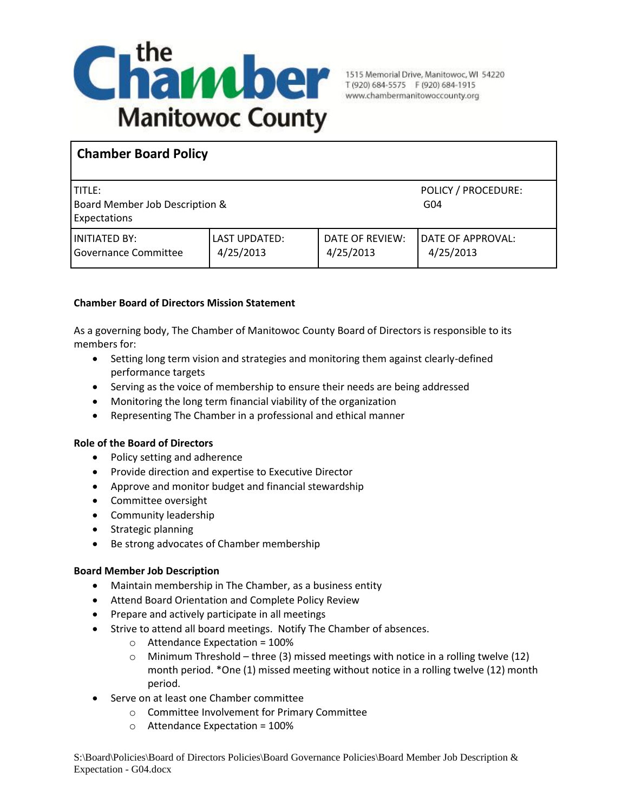

# **Chamber Board Policy**

| I TITLE: .<br>Board Member Job Description &<br><b>Expectations</b> |                            |                              | POLICY / PROCEDURE:<br>G <sub>04</sub> |
|---------------------------------------------------------------------|----------------------------|------------------------------|----------------------------------------|
| I INITIATED BY:<br>l Governance Committee                           | LAST UPDATED:<br>4/25/2013 | DATE OF REVIEW:<br>4/25/2013 | <b>DATE OF APPROVAL:</b><br>4/25/2013  |

## **Chamber Board of Directors Mission Statement**

As a governing body, The Chamber of Manitowoc County Board of Directors is responsible to its members for:

- Setting long term vision and strategies and monitoring them against clearly-defined performance targets
- Serving as the voice of membership to ensure their needs are being addressed
- Monitoring the long term financial viability of the organization
- Representing The Chamber in a professional and ethical manner

### **Role of the Board of Directors**

- Policy setting and adherence
- **•** Provide direction and expertise to Executive Director
- Approve and monitor budget and financial stewardship
- Committee oversight
- **•** Community leadership
- Strategic planning
- Be strong advocates of Chamber membership

### **Board Member Job Description**

- Maintain membership in The Chamber, as a business entity
- Attend Board Orientation and Complete Policy Review
- Prepare and actively participate in all meetings
- Strive to attend all board meetings. Notify The Chamber of absences.
	- $\circ$  Attendance Expectation = 100%
	- $\circ$  Minimum Threshold three (3) missed meetings with notice in a rolling twelve (12) month period. \*One (1) missed meeting without notice in a rolling twelve (12) month period.
- Serve on at least one Chamber committee
	- o Committee Involvement for Primary Committee
	- o Attendance Expectation = 100%